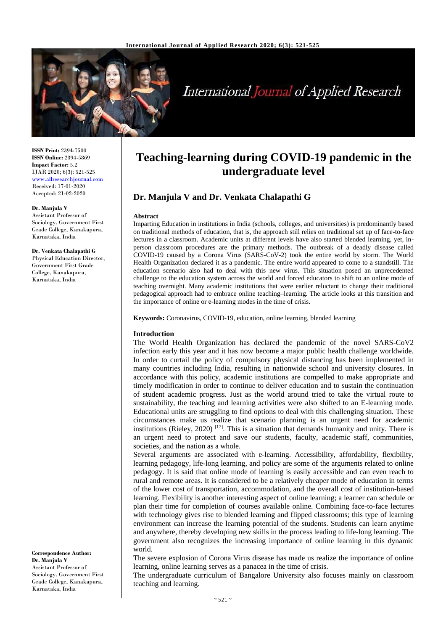

# **International Journal of Applied Research**

**ISSN Print:** 2394-7500 **ISSN Online:** 2394-5869 **Impact Factor:** 5.2 IJAR 2020; 6(3): 521-525 <www.allresearchjournal.com> Received: 17-01-2020 Accepted: 21-02-2020

#### **Dr. Manjula V**

Assistant Professor of Sociology, Government First Grade College, Kanakapura, Karnataka, India

#### **Dr. Venkata Chalapathi G**

Physical Education Director, Government First Grade College, Kanakapura, Karnataka, India

**Correspondence Author: Dr. Manjula V** Assistant Professor of Sociology, Government First Grade College, Kanakapura, Karnataka, India

# **Teaching-learning during COVID-19 pandemic in the undergraduate level**

# **Dr. Manjula V and Dr. Venkata Chalapathi G**

#### **Abstract**

Imparting Education in institutions in India (schools, colleges, and universities) is predominantly based on traditional methods of education, that is, the approach still relies on traditional set up of face-to-face lectures in a classroom. Academic units at different levels have also started blended learning, yet, inperson classroom procedures are the primary methods. The outbreak of a deadly disease called COVID-19 caused by a Corona Virus (SARS-CoV-2) took the entire world by storm. The World Health Organization declared it as a pandemic. The entire world appeared to come to a standstill. The education scenario also had to deal with this new virus. This situation posed an unprecedented challenge to the education system across the world and forced educators to shift to an online mode of teaching overnight. Many academic institutions that were earlier reluctant to change their traditional pedagogical approach had to embrace online teaching–learning. The article looks at this transition and the importance of online or e-learning modes in the time of crisis.

**Keywords:** Coronavirus, COVID-19, education, online learning, blended learning

#### **Introduction**

The World Health Organization has declared the pandemic of the novel SARS-CoV2 infection early this year and it has now become a major public health challenge worldwide. In order to curtail the policy of compulsory physical distancing has been implemented in many countries including India, resulting in nationwide school and university closures. In accordance with this policy, academic institutions are compelled to make appropriate and timely modification in order to continue to deliver education and to sustain the continuation of student academic progress. Just as the world around tried to take the virtual route to sustainability, the teaching and learning activities were also shifted to an E-learning mode. Educational units are struggling to find options to deal with this challenging situation. These circumstances make us realize that scenario planning is an urgent need for academic institutions (Rieley, 2020)<sup>[17]</sup>. This is a situation that demands humanity and unity. There is an urgent need to protect and save our students, faculty, academic staff, communities, societies, and the nation as a whole.

Several arguments are associated with e-learning. Accessibility, affordability, flexibility, learning pedagogy, life-long learning, and policy are some of the arguments related to online pedagogy. It is said that online mode of learning is easily accessible and can even reach to rural and remote areas. It is considered to be a relatively cheaper mode of education in terms of the lower cost of transportation, accommodation, and the overall cost of institution-based learning. Flexibility is another interesting aspect of online learning; a learner can schedule or plan their time for completion of courses available online. Combining face-to-face lectures with technology gives rise to blended learning and flipped classrooms; this type of learning environment can increase the learning potential of the students. Students can learn anytime and anywhere, thereby developing new skills in the process leading to life-long learning. The government also recognizes the increasing importance of online learning in this dynamic world.

The severe explosion of Corona Virus disease has made us realize the importance of online learning, online learning serves as a panacea in the time of crisis.

The undergraduate curriculum of Bangalore University also focuses mainly on classroom teaching and learning.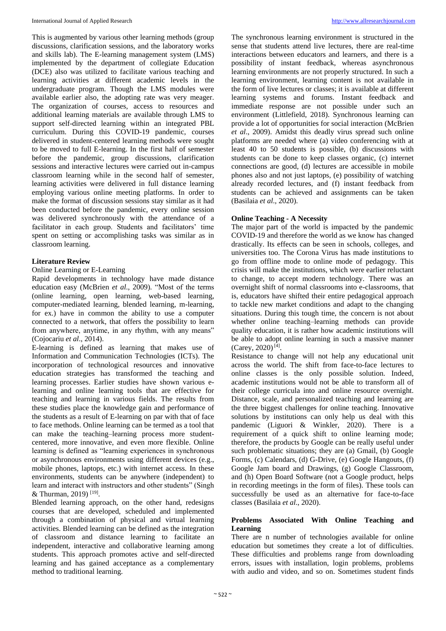This is augmented by various other learning methods (group discussions, clarification sessions, and the laboratory works and skills lab). The E-learning management system (LMS) implemented by the department of collegiate Education (DCE) also was utilized to facilitate various teaching and learning activities at different academic levels in the undergraduate program. Though the LMS modules were available earlier also, the adopting rate was very meager. The organization of courses, access to resources and additional learning materials are available through LMS to support self-directed learning within an integrated PBL curriculum. During this COVID-19 pandemic, courses delivered in student-centered learning methods were sought to be moved to full E-learning. In the first half of semester before the pandemic, group discussions, clarification sessions and interactive lectures were carried out in-campus classroom learning while in the second half of semester, learning activities were delivered in full distance learning employing various online meeting platforms. In order to make the format of discussion sessions stay similar as it had been conducted before the pandemic, every online session was delivered synchronously with the attendance of a facilitator in each group. Students and facilitators' time spent on setting or accomplishing tasks was similar as in classroom learning.

# **Literature Review**

### Online Learning or E-Learning

Rapid developments in technology have made distance education easy (McBrien *et al*., 2009). "Most of the terms (online learning, open learning, web-based learning, computer-mediated learning, blended learning, m-learning, for ex.) have in common the ability to use a computer connected to a network, that offers the possibility to learn from anywhere, anytime, in any rhythm, with any means" (Cojocariu *et al*., 2014).

E-learning is defined as learning that makes use of Information and Communication Technologies (ICTs). The incorporation of technological resources and innovative education strategies has transformed the teaching and learning processes. Earlier studies have shown various elearning and online learning tools that are effective for teaching and learning in various fields. The results from these studies place the knowledge gain and performance of the students as a result of E-learning on par with that of face to face methods. Online learning can be termed as a tool that can make the teaching–learning process more studentcentered, more innovative, and even more flexible. Online learning is defined as "learning experiences in synchronous or asynchronous environments using different devices (e.g., mobile phones, laptops, etc.) with internet access. In these environments, students can be anywhere (independent) to learn and interact with instructors and other students" (Singh & Thurman, 2019)<sup>[19]</sup>.

Blended learning approach, on the other hand, redesigns courses that are developed, scheduled and implemented through a combination of physical and virtual learning activities. Blended learning can be defined as the integration of classroom and distance learning to facilitate an independent, interactive and collaborative learning among students. This approach promotes active and self-directed learning and has gained acceptance as a complementary method to traditional learning.

The synchronous learning environment is structured in the sense that students attend live lectures, there are real-time interactions between educators and learners, and there is a possibility of instant feedback, whereas asynchronous learning environments are not properly structured. In such a learning environment, learning content is not available in the form of live lectures or classes; it is available at different learning systems and forums. Instant feedback and immediate response are not possible under such an environment (Littlefield, 2018). Synchronous learning can provide a lot of opportunities for social interaction (McBrien *et al*., 2009). Amidst this deadly virus spread such online platforms are needed where (a) video conferencing with at least 40 to 50 students is possible, (b) discussions with students can be done to keep classes organic, (c) internet connections are good, (d) lectures are accessible in mobile phones also and not just laptops, (e) possibility of watching already recorded lectures, and (f) instant feedback from students can be achieved and assignments can be taken (Basilaia *et al*., 2020).

# **Online Teaching - A Necessity**

The major part of the world is impacted by the pandemic COVID-19 and therefore the world as we know has changed drastically. Its effects can be seen in schools, colleges, and universities too. The Corona Virus has made institutions to go from offline mode to online mode of pedagogy. This crisis will make the institutions, which were earlier reluctant to change, to accept modern technology. There was an overnight shift of normal classrooms into e-classrooms, that is, educators have shifted their entire pedagogical approach to tackle new market conditions and adapt to the changing situations. During this tough time, the concern is not about whether online teaching–learning methods can provide quality education, it is rather how academic institutions will be able to adopt online learning in such a massive manner (Carey, 2020)<sup>[4]</sup>.

Resistance to change will not help any educational unit across the world. The shift from face-to-face lectures to online classes is the only possible solution. Indeed, academic institutions would not be able to transform all of their college curricula into and online resource overnight. Distance, scale, and personalized teaching and learning are the three biggest challenges for online teaching. Innovative solutions by institutions can only help us deal with this pandemic (Liguori & Winkler, 2020). There is a requirement of a quick shift to online learning mode; therefore, the products by Google can be really useful under such problematic situations; they are (a) Gmail, (b) Google Forms, (c) Calendars, (d) G-Drive, (e) Google Hangouts, (f) Google Jam board and Drawings, (g) Google Classroom, and (h) Open Board Software (not a Google product, helps in recording meetings in the form of files). These tools can successfully be used as an alternative for face-to-face classes (Basilaia *et al*., 2020).

# **Problems Associated With Online Teaching and Learning**

There are n number of technologies available for online education but sometimes they create a lot of difficulties. These difficulties and problems range from downloading errors, issues with installation, login problems, problems with audio and video, and so on. Sometimes student finds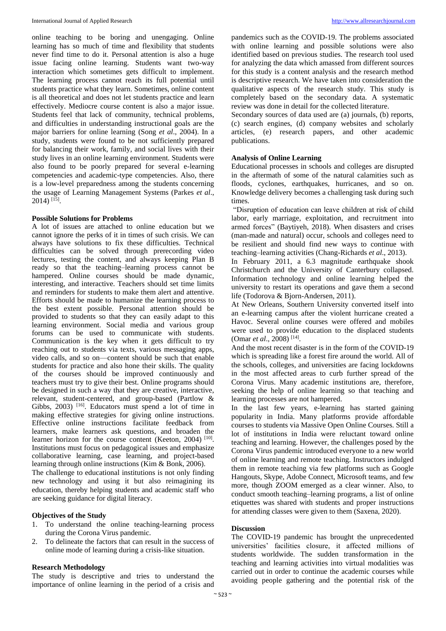online teaching to be boring and unengaging. Online learning has so much of time and flexibility that students never find time to do it. Personal attention is also a huge issue facing online learning. Students want two-way interaction which sometimes gets difficult to implement. The learning process cannot reach its full potential until students practice what they learn. Sometimes, online content is all theoretical and does not let students practice and learn effectively. Mediocre course content is also a major issue. Students feel that lack of community, technical problems, and difficulties in understanding instructional goals are the major barriers for online learning (Song *et al*., 2004). In a study, students were found to be not sufficiently prepared for balancing their work, family, and social lives with their study lives in an online learning environment. Students were also found to be poorly prepared for several e-learning competencies and academic-type competencies. Also, there is a low-level preparedness among the students concerning the usage of Learning Management Systems (Parkes *et al*., 2014) [15] .

#### **Possible Solutions for Problems**

A lot of issues are attached to online education but we cannot ignore the perks of it in times of such crisis. We can always have solutions to fix these difficulties. Technical difficulties can be solved through prerecording video lectures, testing the content, and always keeping Plan B ready so that the teaching–learning process cannot be hampered. Online courses should be made dynamic, interesting, and interactive. Teachers should set time limits and reminders for students to make them alert and attentive. Efforts should be made to humanize the learning process to the best extent possible. Personal attention should be provided to students so that they can easily adapt to this learning environment. Social media and various group forums can be used to communicate with students. Communication is the key when it gets difficult to try reaching out to students via texts, various messaging apps, video calls, and so on—content should be such that enable students for practice and also hone their skills. The quality of the courses should be improved continuously and teachers must try to give their best. Online programs should be designed in such a way that they are creative, interactive, relevant, student-centered, and group-based (Partlow & Gibbs,  $2003$ )<sup>[16]</sup>. Educators must spend a lot of time in making effective strategies for giving online instructions. Effective online instructions facilitate feedback from learners, make learners ask questions, and broaden the learner horizon for the course content (Keeton, 2004)<sup>[10]</sup>. Institutions must focus on pedagogical issues and emphasize collaborative learning, case learning, and project-based learning through online instructions (Kim & Bonk, 2006). The challenge to educational institutions is not only finding new technology and using it but also reimagining its

education, thereby helping students and academic staff who are seeking guidance for digital literacy.

#### **Objectives of the Study**

- 1. To understand the online teaching-learning process during the Corona Virus pandemic.
- 2. To delineate the factors that can result in the success of online mode of learning during a crisis-like situation.

#### **Research Methodology**

The study is descriptive and tries to understand the importance of online learning in the period of a crisis and

pandemics such as the COVID-19. The problems associated with online learning and possible solutions were also identified based on previous studies. The research tool used for analyzing the data which amassed from different sources for this study is a content analysis and the research method is descriptive research. We have taken into consideration the qualitative aspects of the research study. This study is completely based on the secondary data. A systematic review was done in detail for the collected literature.

Secondary sources of data used are (a) journals, (b) reports, (c) search engines, (d) company websites and scholarly articles, (e) research papers, and other academic publications.

#### **Analysis of Online Learning**

Educational processes in schools and colleges are disrupted in the aftermath of some of the natural calamities such as floods, cyclones, earthquakes, hurricanes, and so on. Knowledge delivery becomes a challenging task during such times.

"Disruption of education can leave children at risk of child labor, early marriage, exploitation, and recruitment into armed forces" (Baytiyeh, 2018). When disasters and crises (man-made and natural) occur, schools and colleges need to be resilient and should find new ways to continue with teaching–learning activities (Chang-Richards *et al*., 2013).

In February 2011, a 6.3 magnitude earthquake shook Christchurch and the University of Canterbury collapsed. Information technology and online learning helped the university to restart its operations and gave them a second life (Todorova & Bjorn-Andersen, 2011).

At New Orleans, Southern University converted itself into an e-learning campus after the violent hurricane created a Havoc. Several online courses were offered and mobiles were used to provide education to the displaced students (Omar *et al.*, 2008)<sup>[14]</sup>.

And the most recent disaster is in the form of the COVID-19 which is spreading like a forest fire around the world. All of the schools, colleges, and universities are facing lockdowns in the most affected areas to curb further spread of the Corona Virus. Many academic institutions are, therefore, seeking the help of online learning so that teaching and learning processes are not hampered.

In the last few years, e-learning has started gaining popularity in India. Many platforms provide affordable courses to students via Massive Open Online Courses. Still a lot of institutions in India were reluctant toward online teaching and learning. However, the challenges posed by the Corona Virus pandemic introduced everyone to a new world of online learning and remote teaching. Instructors indulged them in remote teaching via few platforms such as Google Hangouts, Skype, Adobe Connect, Microsoft teams, and few more, though ZOOM emerged as a clear winner. Also, to conduct smooth teaching–learning programs, a list of online etiquettes was shared with students and proper instructions for attending classes were given to them (Saxena, 2020).

# **Discussion**

The COVID-19 pandemic has brought the unprecedented universities' facilities closure, it affected millions of students worldwide. The sudden transformation in the teaching and learning activities into virtual modalities was carried out in order to continue the academic courses while avoiding people gathering and the potential risk of the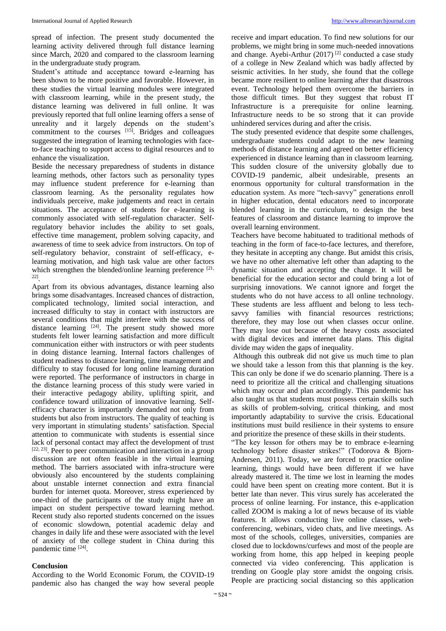spread of infection. The present study documented the learning activity delivered through full distance learning since March, 2020 and compared to the classroom learning in the undergraduate study program.

Student's attitude and acceptance toward e-learning has been shown to be more positive and favorable. However, in these studies the virtual learning modules were integrated with classroom learning, while in the present study, the distance learning was delivered in full online. It was previously reported that full online learning offers a sense of unreality and it largely depends on the student's commitment to the courses  $[15]$ . Bridges and colleagues suggested the integration of learning technologies with faceto-face teaching to support access to digital resources and to enhance the visualization.

Beside the necessary preparedness of students in distance learning methods, other factors such as personality types may influence student preference for e-learning than classroom learning. As the personality regulates how individuals perceive, make judgements and react in certain situations. The acceptance of students for e-learning is commonly associated with self-regulation character. Selfregulatory behavior includes the ability to set goals, effective time management, problem solving capacity, and awareness of time to seek advice from instructors. On top of self-regulatory behavior, constraint of self-efficacy, elearning motivation, and high task value are other factors which strengthen the blended/online learning preference [21, 22] .

Apart from its obvious advantages, distance learning also brings some disadvantages. Increased chances of distraction, complicated technology, limited social interaction, and increased difficulty to stay in contact with instructors are several conditions that might interfere with the success of distance learning  $[24]$ . The present study showed more students felt lower learning satisfaction and more difficult communication either with instructors or with peer students in doing distance learning. Internal factors challenges of student readiness to distance learning, time management and difficulty to stay focused for long online learning duration were reported. The performance of instructors in charge in the distance learning process of this study were varied in their interactive pedagogy ability, uplifting spirit, and confidence toward utilization of innovative learning. Selfefficacy character is importantly demanded not only from students but also from instructors. The quality of teaching is very important in stimulating students' satisfaction. Special attention to communicate with students is essential since lack of personal contact may affect the development of trust  $[22, 23]$ . Peer to peer communication and interaction in a group discussion are not often feasible in the virtual learning method. The barriers associated with infra-structure were obviously also encountered by the students complaining about unstable internet connection and extra financial burden for internet quota. Moreover, stress experienced by one-third of the participants of the study might have an impact on student perspective toward learning method. Recent study also reported students concerned on the issues of economic slowdown, potential academic delay and changes in daily life and these were associated with the level of anxiety of the college student in China during this pandemic time [24].

#### **Conclusion**

According to the World Economic Forum, the COVID-19 pandemic also has changed the way how several people receive and impart education. To find new solutions for our problems, we might bring in some much-needed innovations and change. Ayebi-Arthur (2017)<sup>[2]</sup> conducted a case study of a college in New Zealand which was badly affected by seismic activities. In her study, she found that the college became more resilient to online learning after that disastrous event. Technology helped them overcome the barriers in those difficult times. But they suggest that robust IT Infrastructure is a prerequisite for online learning. Infrastructure needs to be so strong that it can provide unhindered services during and after the crisis.

The study presented evidence that despite some challenges, undergraduate students could adapt to the new learning methods of distance learning and agreed on better efficiency experienced in distance learning than in classroom learning. This sudden closure of the university globally due to COVID-19 pandemic, albeit undesirable, presents an enormous opportunity for cultural transformation in the education system. As more "tech-savvy" generations enroll in higher education, dental educators need to incorporate blended learning in the curriculum, to design the best features of classroom and distance learning to improve the overall learning environment.

Teachers have become habituated to traditional methods of teaching in the form of face-to-face lectures, and therefore, they hesitate in accepting any change. But amidst this crisis, we have no other alternative left other than adapting to the dynamic situation and accepting the change. It will be beneficial for the education sector and could bring a lot of surprising innovations. We cannot ignore and forget the students who do not have access to all online technology. These students are less affluent and belong to less techsavvy families with financial resources restrictions; therefore, they may lose out when classes occur online. They may lose out because of the heavy costs associated with digital devices and internet data plans. This digital divide may widen the gaps of inequality.

Although this outbreak did not give us much time to plan we should take a lesson from this that planning is the key. This can only be done if we do scenario planning. There is a need to prioritize all the critical and challenging situations which may occur and plan accordingly. This pandemic has also taught us that students must possess certain skills such as skills of problem-solving, critical thinking, and most importantly adaptability to survive the crisis. Educational institutions must build resilience in their systems to ensure and prioritize the presence of these skills in their students.

"The key lesson for others may be to embrace e-learning technology before disaster strikes!" (Todorova & Bjorn-Andersen, 2011). Today, we are forced to practice online learning, things would have been different if we have already mastered it. The time we lost in learning the modes could have been spent on creating more content. But it is better late than never. This virus surely has accelerated the process of online learning. For instance, this e-application called ZOOM is making a lot of news because of its viable features. It allows conducting live online classes, webconferencing, webinars, video chats, and live meetings. As most of the schools, colleges, universities, companies are closed due to lockdowns/curfews and most of the people are working from home, this app helped in keeping people connected via video conferencing. This application is trending on Google play store amidst the ongoing crisis. People are practicing social distancing so this application